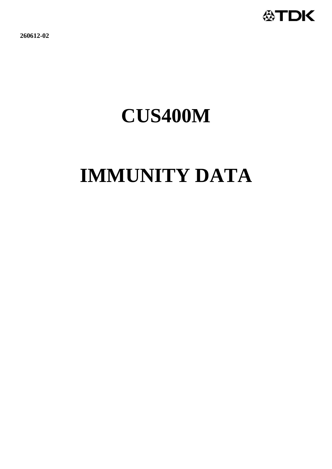

**260612-02**

# **CUS400M**

# **IMMUNITY DATA**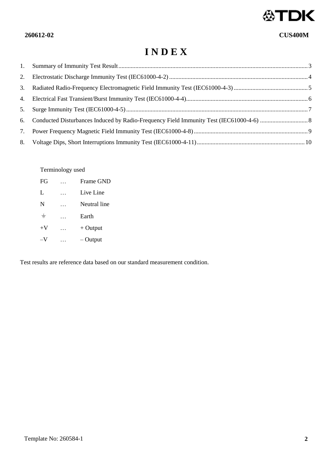

# **I N D E X**

| 2. |  |
|----|--|
| 3. |  |
|    |  |
| 5. |  |
|    |  |
| 7. |  |
| 8. |  |

Terminology used

| FG    | Frame GND    |
|-------|--------------|
| L     | Live Line    |
| N     | Neutral line |
| $\pm$ | Earth        |
| $+V$  | $+$ Output   |
| $-V$  | $-$ Output   |

Test results are reference data based on our standard measurement condition.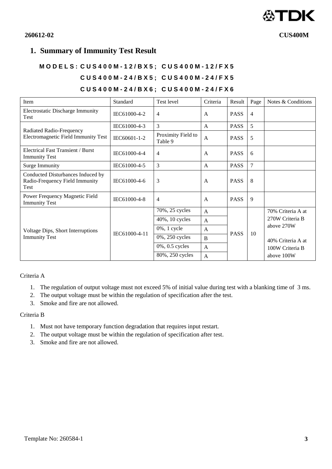

# <span id="page-2-0"></span>**1. Summary of Immunity Test Result**

# **M O D E L S : C U S 4 0 0 M - 1 2 / B X 5 ; C U S 4 0 0 M - 1 2 / F X 5 C U S 4 0 0 M - 2 4 / B X 5 ; C U S 4 0 0 M - 2 4 / F X 5 C U S 4 0 0 M - 2 4 / B X 6 ; C U S 4 0 0 M - 2 4 / F X 6**

#### Item Standard Test level Criteria Result Page Notes & Conditions Electrostatic Discharge Immunity  $T$ est Infinite Discharge Infinitely  $\begin{bmatrix} \text{IEC61000-4-2} \\ \text{IEC61000-4-2} \end{bmatrix}$  4 A PASS 4 Radiated Radio-Frequency Electromagnetic Field Immunity Test  $\text{IEC61000-4-3}$  3 A PASS 5 IEC60601-1-2 Proximity Field to  $\begin{array}{|c|c|c|}\nA & PASS & 5\n\end{array}$ Electrical Fast Transient / Burst  $\begin{array}{c|c|c|c|c|c|c} \hline \text{Electrical Fast Hashcent / burst} & \text{IEC61000-4-4} & 4 & & A & & PASS & 6 \ \hline \end{array}$ Surge Immunity **IEC61000-4-5** 3 A PASS 7 Conducted Disturbances Induced by Radio-Frequency Field Immunity Test  $IEC61000-4-6$  3 A PASS 8 Power Frequency Magnetic Field  $\begin{array}{c|c|c|c|c|c|c} \hline \text{I} & \text{I} & \text{I} & \text{I} \\ \text{I} & \text{I} & \text{I} & \text{I} \\ \text{I} & \text{I} & \text{I} & \text{I} \end{array}$   $\begin{array}{c|c|c|c|c} \hline \text{I} & \text{I} & \text{I} & \text{I} \\ \hline \text{I} & \text{I} & \text{I} & \text{I} \end{array}$ Voltage Dips, Short Interruptions Voltage Dips, Snort Interruptions<br>Immunity Test EC61000-4-11 70%, 25 cycles A PASS  $10$ 70% Criteria A at 270W Criteria B above 270W 40% Criteria A at 100W Criteria B above 100W  $40\%$ , 10 cycles A  $0\%$ , 1 cycle  $\overrightarrow{A}$  $0\%$ , 250 cycles B  $0\%$ , 0.5 cycles A 80%, 250 cycles A

Criteria A

- 1. The regulation of output voltage must not exceed 5% of initial value during test with a blanking time of 3 ms.
- 2. The output voltage must be within the regulation of specification after the test.
- 3. Smoke and fire are not allowed.

# Criteria B

- 1. Must not have temporary function degradation that requires input restart.
- 2. The output voltage must be within the regulation of specification after test.
- 3. Smoke and fire are not allowed.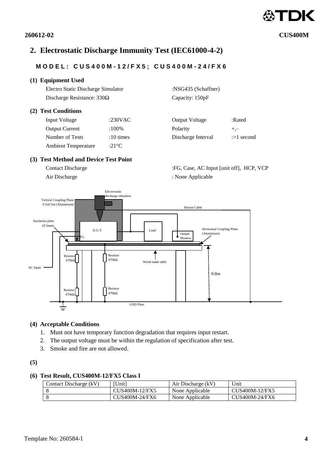# <span id="page-3-0"></span>**2. Electrostatic Discharge Immunity Test (IEC61000-4-2)**

# **MOD E L : C U S 4 0 0 M - 1 2 / F X 5 ; C U S 4 0 0 M - 2 4 / F X 6**

# **(1) Equipment Used**

Electro Static Discharge Simulator :NSG435 (Schaffner) Discharge Resistance: 330Ω Capacity: 150pF

### **(2) Test Conditions**

| Input Voltage              | :230VAC   | <b>Output Voltage</b> | :Rated      |
|----------------------------|-----------|-----------------------|-------------|
| <b>Output Current</b>      | :100%     | Polarity              | $+,-$       |
| Number of Tests            | :10 times | Discharge Interval    | $\gg 1$ sec |
| <b>Ambient Temperature</b> | :21°C     |                       |             |

# **(3) Test Method and Device Test Point**

Contact Discharge :FG, Case, AC Input [unit off], HCP, VCP Air Discharge : None Applicable : None Applicable

Discharge Interval :>1 second



# **(4) Acceptable Conditions**

- 1. Must not have temporary function degradation that requires input restart.
- 2. The output voltage must be within the regulation of specification after test.
- 3. Smoke and fire are not allowed.

# **(5)**

### **(6) Test Result, CUS400M-12/FX5 Class I**

| Contact Discharge $(kV)$ | <b>Unitl</b>   | Air Discharge (kV) | Unit           |
|--------------------------|----------------|--------------------|----------------|
|                          | CUS400M-12/FX5 | None Applicable    | CUS400M-12/FX5 |
|                          | CUS400M-24/FX6 | None Applicable    | CUS400M-24/FX6 |

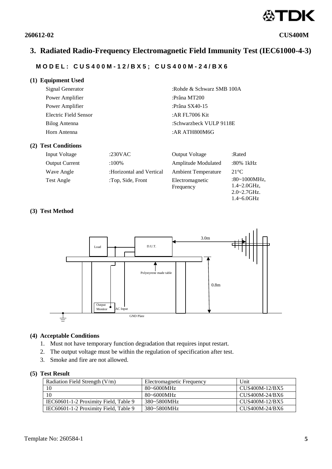

1.4~6.0GHz

# <span id="page-4-0"></span>**3. Radiated Radio-Frequency Electromagnetic Field Immunity Test (IEC61000-4-3)**

# **M O D E L : C U S 4 0 0 M - 1 2 / B X 5 ; C U S 4 0 0 M - 2 4 / B X 6**

| (1) Equipment Used    |                           |
|-----------------------|---------------------------|
| Signal Generator      | :Rohde & Schwarz SMB 100A |
| Power Amplifier       | :Prâna MT200              |
| Power Amplifier       | :Prâna $SX40-15$          |
| Electric Field Sensor | :AR FL $7006$ Kit         |
| Bilog Antenna         | :Schwarzbeck VULP 9118E   |
| Horn Antenna          | : AR ATH800M6G            |
|                       |                           |

#### **(2) Test Conditions**

| Input Voltage         | :230 $VAC$               | <b>Output Voltage</b>        | :Rated                                                  |
|-----------------------|--------------------------|------------------------------|---------------------------------------------------------|
| <b>Output Current</b> | $:100\%$                 | Amplitude Modulated          | :80% 1kHz                                               |
| Wave Angle            | :Horizontal and Vertical | <b>Ambient Temperature</b>   | $21^{\circ}$ C                                          |
| Test Angle            | :Top, Side, Front        | Electromagnetic<br>Frequency | $:80~1000$ MHz,<br>$1.4 - 2.0$ GHz,<br>$2.0 - 2.7$ GHz. |

# **(3) Test Method**



#### **(4) Acceptable Conditions**

- 1. Must not have temporary function degradation that requires input restart.
- 2. The output voltage must be within the regulation of specification after test.
- 3. Smoke and fire are not allowed.

| Radiation Field Strength $(V/m)$      | Electromagnetic Frequency | Unit           |
|---------------------------------------|---------------------------|----------------|
| 10                                    | $80 - 6000$ MHz           | CUS400M-12/BX5 |
| 10                                    | $80 - 6000$ MHz           | CUS400M-24/BX6 |
| IEC60601-1-2 Proximity Field, Table 9 | 380~5800MHz               | CUS400M-12/BX5 |
| IEC60601-1-2 Proximity Field, Table 9 | 380~5800MHz               | CUS400M-24/BX6 |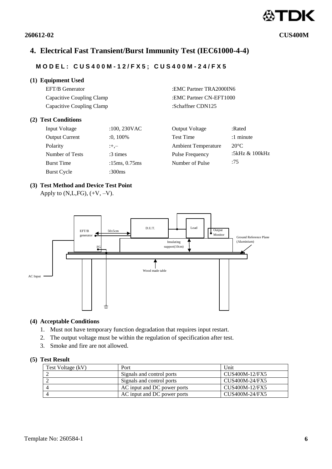# <span id="page-5-0"></span>**4. Electrical Fast Transient/Burst Immunity Test (IEC61000-4-4)**

# **M O D E L : C U S 4 0 0 M - 1 2 / F X 5 ; C U S 4 0 0 M - 2 4 / F X 5**

# **(1) Equipment Used**

EFT/B Generator :EMC Partner TRA2000IN6 Capacitive Coupling Clamp :EMC Partner CN-EFT1000 Capacitive Coupling Clamp :Schaffner CDN125

# **(2) Test Conditions**

| Input Voltage         | $:100, 230$ VAC  | <b>Output Voltage</b>      | :Rated         |
|-----------------------|------------------|----------------------------|----------------|
| <b>Output Current</b> | $:0,100\%$       | <b>Test Time</b>           | $:1$ minute    |
| Polarity              | $: +, -$         | <b>Ambient Temperature</b> | $20^{\circ}$ C |
| Number of Tests       | $:3 \times$      | Pulse Frequency            | :5kHz & 100kHz |
| <b>Burst Time</b>     | :15ms, $0.75$ ms | Number of Pulse            | :75            |
| Burst Cycle           | :300 $ms$        |                            |                |
|                       |                  |                            |                |

# **(3) Test Method and Device Test Point**

Apply to  $(N,L, FG)$ ,  $(+V, -V)$ .



# **(4) Acceptable Conditions**

- 1. Must not have temporary function degradation that requires input restart.
- 2. The output voltage must be within the regulation of specification after test.
- 3. Smoke and fire are not allowed.

# **(5) Test Result**

| Test Voltage (kV) | Port                        | Unit           |
|-------------------|-----------------------------|----------------|
|                   | Signals and control ports   | CUS400M-12/FX5 |
|                   | Signals and control ports   | CUS400M-24/FX5 |
|                   | AC input and DC power ports | CUS400M-12/FX5 |
|                   | AC input and DC power ports | CUS400M-24/FX5 |



**260612-02 CUS400M**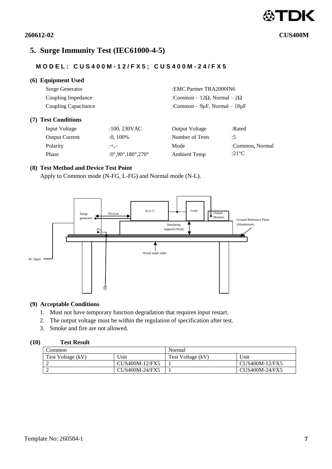

 $(7)$ 

# **260612-02 CUS400M**

# <span id="page-6-0"></span>**5. Surge Immunity Test (IEC61000-4-5)**

# **M O D E L : C U S 4 0 0 M - 1 2 / F X 5 ; C U S 4 0 0 M - 2 4 / F X 5**

# **(6) Equipment Used**

| <b>Surge Generator</b> |                | :EMC Partner TRA2000IN6                     |        |  |
|------------------------|----------------|---------------------------------------------|--------|--|
| Coupling Impedance     |                | :Common – 12 $\Omega$ , Normal – 2 $\Omega$ |        |  |
| Coupling Capacitance   |                | :Common – $9\mu$ F, Normal – $18\mu$ F      |        |  |
| <b>Test Conditions</b> |                |                                             |        |  |
| Input Voltage          | $:100,230$ VAC | <b>Output Voltage</b>                       | :Rated |  |

| Input Voltage         | $:100,230$ VAC    | <b>Output Voltage</b> | :Rated          |
|-----------------------|-------------------|-----------------------|-----------------|
| <b>Output Current</b> | $:0.100\%$        | Number of Tests       | :5              |
| <b>Polarity</b>       | $: + -$           | Mode                  | :Common, Normal |
| Phase                 | :0°,90°,180°,270° | Ambient Temp          | :21 °C          |

# **(8) Test Method and Device Test Point**

Apply to Common mode (N-FG, L-FG) and Normal mode (N-L).



#### **(9) Acceptable Conditions**

- 1. Must not have temporary function degradation that requires input restart.
- 2. The output voltage must be within the regulation of specification after test.
- 3. Smoke and fire are not allowed.

| Common            |                | Normal            |                |
|-------------------|----------------|-------------------|----------------|
| Test Voltage (kV) | 'Jnit          | Test Voltage (kV) | ' Jnit         |
|                   | CUS400M-12/FX5 |                   | CUS400M-12/FX5 |
|                   | CUS400M-24/FX5 |                   | CUS400M-24/FX5 |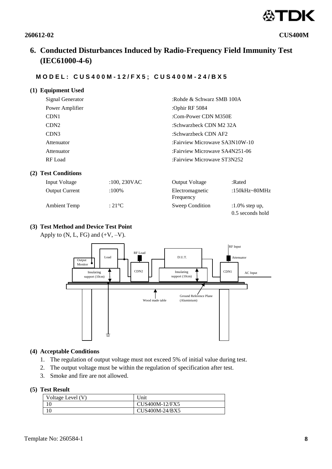

# <span id="page-7-0"></span>**6. Conducted Disturbances Induced by Radio-Frequency Field Immunity Test (IEC61000-4-6)**

:Rohde & Schwarz SMB 100A

:Fairview Microwave SA3N10W-10 :Fairview Microwave SA4N251-06 :Fairview Microwave ST3N252

:Com-Power CDN M350E :Schwarzbeck CDN M2 32A :Schwarzbeck CDN AF2

:Ophir RF 5084

# **M O D E L : C U S 4 0 0 M - 1 2 / F X 5 ; C U S 4 0 0 M - 2 4 / B X 5**

|  | (1) Equipment Used |  |
|--|--------------------|--|
|--|--------------------|--|

| Signal Generator |
|------------------|
| Power Amplifier  |
| CDN1             |
| CDN2             |
| CDN3             |
| Attenuator       |
| Attenuator       |
| RF Load          |

# **(2) Test Conditions**

| Input Voltage         | $:100, 230$ VAC | <b>Output Voltage</b>        | :Rated                                |
|-----------------------|-----------------|------------------------------|---------------------------------------|
| <b>Output Current</b> | $:100\%$        | Electromagnetic<br>Frequency | :150kHz~80MHz                         |
| <b>Ambient Temp</b>   | $\cdot$ 21 °C   | Sweep Condition              | $:1.0\%$ step up,<br>0.5 seconds hold |

# **(3) Test Method and Device Test Point**

Apply to  $(N, L, FG)$  and  $(+V, -V)$ .



### **(4) Acceptable Conditions**

- 1. The regulation of output voltage must not exceed 5% of initial value during test.
- 2. The output voltage must be within the regulation of specification after test.
- 3. Smoke and fire are not allowed.

| Voltage Level (V) | Unit           |
|-------------------|----------------|
|                   | CUS400M-12/FX5 |
|                   | CUS400M-24/BX5 |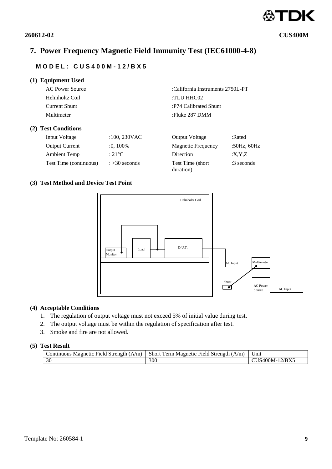# <span id="page-8-0"></span>**7. Power Frequency Magnetic Field Immunity Test (IEC61000-4-8)**

# **M O D E L : C U S 4 0 0 M - 1 2 / B X 5**

| <b>Equipment Used</b><br>(1)  |                        |                                  |              |
|-------------------------------|------------------------|----------------------------------|--------------|
| AC Power Source               |                        | :California Instruments 2750L-PT |              |
| Helmholtz Coil                |                        | :TLU HHC02                       |              |
| <b>Current Shunt</b>          |                        | :P74 Calibrated Shunt            |              |
| Multimeter                    |                        | :Fluke 287 DMM                   |              |
| <b>Test Conditions</b><br>(2) |                        |                                  |              |
| Input Voltage                 | $:100,230$ VAC         | <b>Output Voltage</b>            | :Rated       |
| <b>Output Current</b>         | $:0,100\%$             | <b>Magnetic Frequency</b>        | :50Hz, 60Hz  |
| <b>Ambient Temp</b>           | $:21^{\circ}$ C        | Direction                        | :X,Y,Z       |
| Test Time (continuous)        | $\approx$ > 30 seconds | Test Time (short)<br>duration)   | $:3$ seconds |

# **(3) Test Method and Device Test Point**



# **(4) Acceptable Conditions**

- 1. The regulation of output voltage must not exceed 5% of initial value during test.
- 2. The output voltage must be within the regulation of specification after test.
- 3. Smoke and fire are not allowed.

| Strength (<br>$\dot{\ }$ continuous<br>A/m<br>Field -<br>Magnetic | Short<br>Ferm Magnetic.<br>Strenøth<br>A/m)<br>Field. | $\mathbf{v}$<br>Unit |
|-------------------------------------------------------------------|-------------------------------------------------------|----------------------|
| 30                                                                | 300                                                   | 400M-12/BX5          |